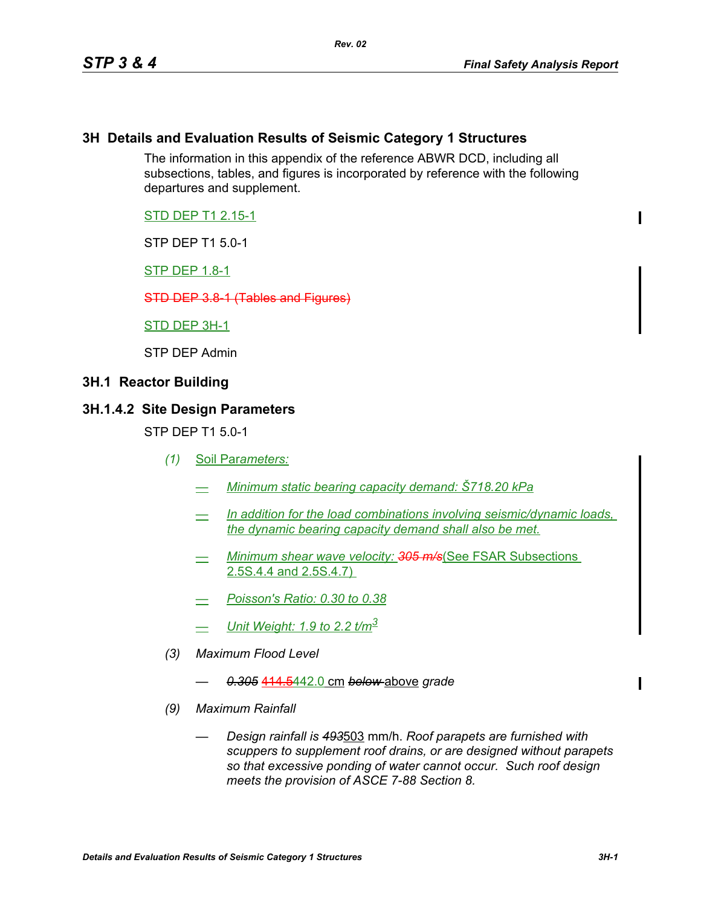#### **3H Details and Evaluation Results of Seismic Category 1 Structures**

The information in this appendix of the reference ABWR DCD, including all subsections, tables, and figures is incorporated by reference with the following departures and supplement.

STD DEP T1 2.15-1

STP DEP T1 5.0-1

STP DEP 1.8-1

STD DEP 3.8-1 (Tables and Figures)

STD DEP 3H-1

STP DEP Admin

#### **3H.1 Reactor Building**

#### **3H.1.4.2 Site Design Parameters**

STP DEP T1 5.0-1

- *(1)* Soil Par*ameters:*
	- *— Minimum static bearing capacity demand: Š718.20 kPa*
	- *— In addition for the load combinations involving seismic/dynamic loads, the dynamic bearing capacity demand shall also be met.*
	- *— Minimum shear wave velocity: 305 m/s*(See FSAR Subsections 2.5S.4.4 and 2.5S.4.7)
	- *Poisson's Ratio: 0.30 to 0.38*
	- *— Unit Weight: 1.9 to 2.2 t/m<sup>3</sup>*
- *(3) Maximum Flood Level*
	- *0.305* 414.5442.0 cm *below* above *grade*
- *(9) Maximum Rainfall*
	- *Design rainfall is 493*503 mm/h. *Roof parapets are furnished with scuppers to supplement roof drains, or are designed without parapets so that excessive ponding of water cannot occur. Such roof design meets the provision of ASCE 7-88 Section 8.*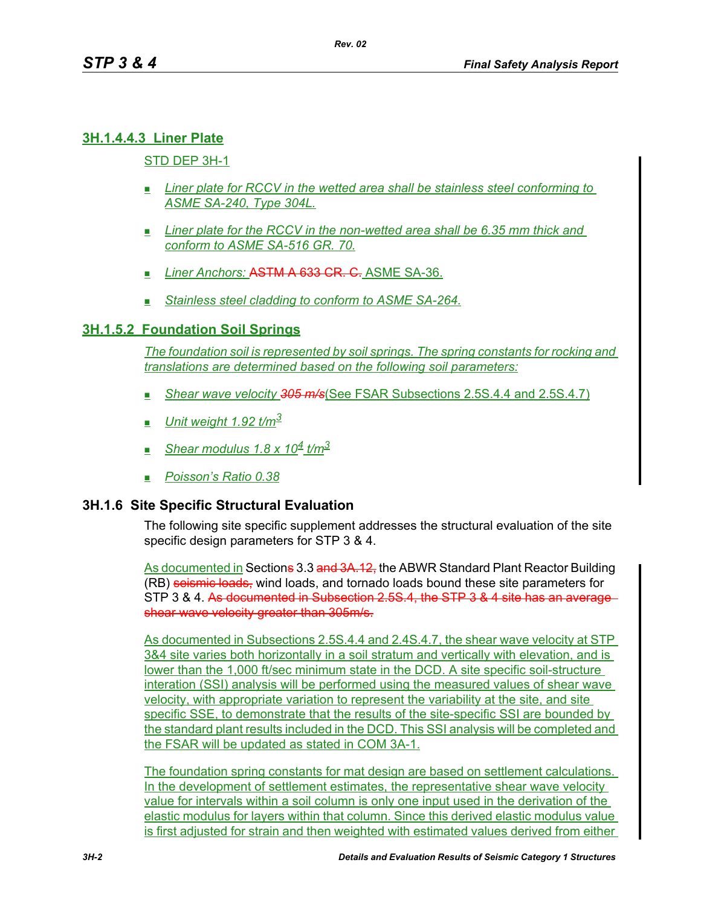# **3H.1.4.4.3 Liner Plate**

# STD DEP 3H-1

- *Liner plate for RCCV in the wetted area shall be stainless steel conforming to ASME SA-240, Type 304L.*
- *Liner plate for the RCCV in the non-wetted area shall be 6.35 mm thick and conform to ASME SA-516 GR. 70.*
- **Liner Anchors: ASTM A 633 CR. C.** ASME SA-36.
- *Stainless steel cladding to conform to ASME SA-264.*

## **3H.1.5.2 Foundation Soil Springs**

*The foundation soil is represented by soil springs. The spring constants for rocking and translations are determined based on the following soil parameters:*

- *Shear wave velocity 305 m/s*(See FSAR Subsections 2.5S.4.4 and 2.5S.4.7)
- *Unit weight 1.92 t/m<sup>3</sup>*
- *Shear modulus 1.8 x 104 t/m3*
- *Poisson's Ratio 0.38*

## **3H.1.6 Site Specific Structural Evaluation**

The following site specific supplement addresses the structural evaluation of the site specific design parameters for STP 3 & 4.

As documented in Sections 3.3 and 3A.12, the ABWR Standard Plant Reactor Building (RB) seismic loads, wind loads, and tornado loads bound these site parameters for STP 3 & 4. As documented in Subsection 2.5S.4, the STP 3 & 4 site has an average shear wave velocity greater than 305m/s.

As documented in Subsections 2.5S.4.4 and 2.4S.4.7, the shear wave velocity at STP 3&4 site varies both horizontally in a soil stratum and vertically with elevation, and is lower than the 1,000 ft/sec minimum state in the DCD. A site specific soil-structure interation (SSI) analysis will be performed using the measured values of shear wave velocity, with appropriate variation to represent the variability at the site, and site specific SSE, to demonstrate that the results of the site-specific SSI are bounded by the standard plant results included in the DCD. This SSI analysis will be completed and the FSAR will be updated as stated in COM 3A-1.

The foundation spring constants for mat design are based on settlement calculations. In the development of settlement estimates, the representative shear wave velocity value for intervals within a soil column is only one input used in the derivation of the elastic modulus for layers within that column. Since this derived elastic modulus value is first adjusted for strain and then weighted with estimated values derived from either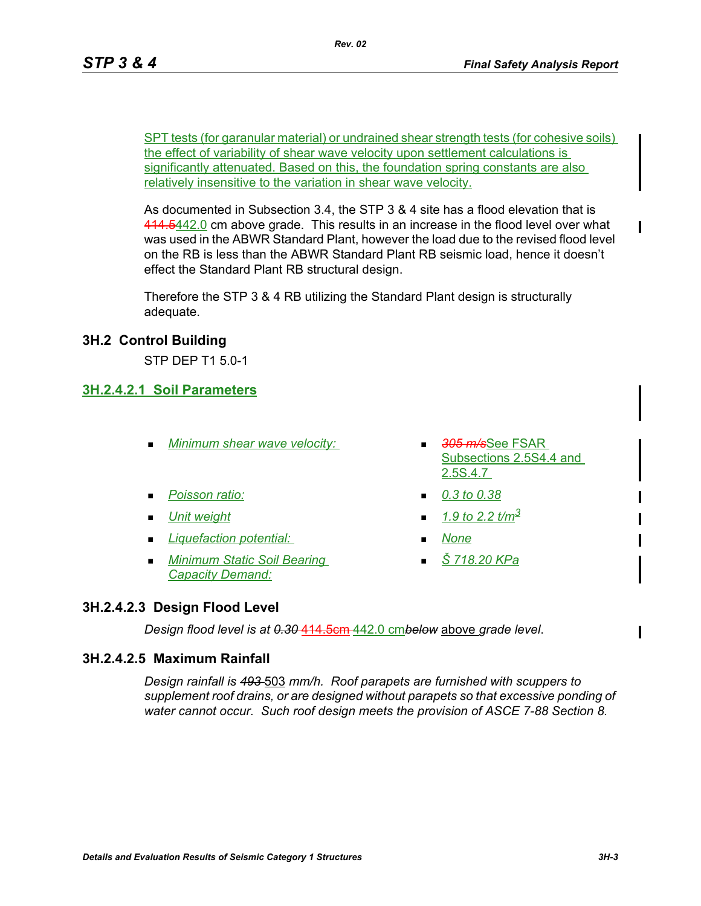SPT tests (for garanular material) or undrained shear strength tests (for cohesive soils) the effect of variability of shear wave velocity upon settlement calculations is significantly attenuated. Based on this, the foundation spring constants are also relatively insensitive to the variation in shear wave velocity.

As documented in Subsection 3.4, the STP 3 & 4 site has a flood elevation that is 414.5442.0 cm above grade. This results in an increase in the flood level over what was used in the ABWR Standard Plant, however the load due to the revised flood level on the RB is less than the ABWR Standard Plant RB seismic load, hence it doesn't effect the Standard Plant RB structural design.

Therefore the STP 3 & 4 RB utilizing the Standard Plant design is structurally adequate.

# **3H.2 Control Building**

STP DEP T1 5.0-1

## **3H.2.4.2.1 Soil Parameters**

- *Minimum shear wave velocity: 305 m/s*See FSAR
- *Poisson ratio: 0.3 to 0.38*
- 
- *Liquefaction potential: None*
- *Minimum Static Soil Bearing Capacity Demand:*
- Subsections 2.5S4.4 and 2.5S.4.7
- 
- *Unit weight 1.9 to 2.2 t/m3*
	-
	- *Š 718.20 KPa*

# **3H.2.4.2.3 Design Flood Level**

*Design flood level is at 0.30* 414.5cm 442.0 cm*below* above *grade level*.

## **3H.2.4.2.5 Maximum Rainfall**

*Design rainfall is 493* 503 *mm/h. Roof parapets are furnished with scuppers to supplement roof drains, or are designed without parapets so that excessive ponding of water cannot occur. Such roof design meets the provision of ASCE 7-88 Section 8.*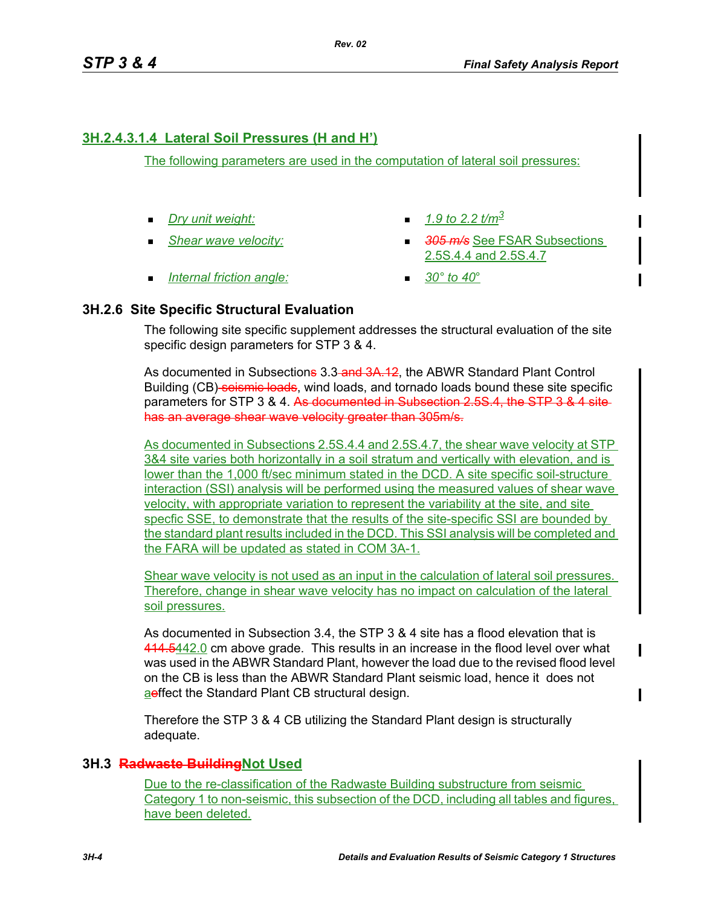# **3H.2.4.3.1.4 Lateral Soil Pressures (H and H')**

The following parameters are used in the computation of lateral soil pressures:

- **Dry unit weight:**  $\blacksquare$  1.9 to 2.2  $t/m^3$
- 
- 
- *Shear wave velocity: 305 m/s* See FSAR Subsections 2.5S.4.4 and 2.5S.4.7
- *Internal friction angle:* 30° to 40°
- 

# **3H.2.6 Site Specific Structural Evaluation**

The following site specific supplement addresses the structural evaluation of the site specific design parameters for STP 3 & 4.

As documented in Subsections 3.3-and 3A.12, the ABWR Standard Plant Control Building (CB) seismic loads, wind loads, and tornado loads bound these site specific parameters for STP 3 & 4. As documented in Subsection 2.5S.4, the STP 3 & 4 site has an average shear wave velocity greater than 305m/s.

As documented in Subsections 2.5S.4.4 and 2.5S.4.7, the shear wave velocity at STP 3&4 site varies both horizontally in a soil stratum and vertically with elevation, and is lower than the 1,000 ft/sec minimum stated in the DCD. A site specific soil-structure interaction (SSI) analysis will be performed using the measured values of shear wave velocity, with appropriate variation to represent the variability at the site, and site specfic SSE, to demonstrate that the results of the site-specific SSI are bounded by the standard plant results included in the DCD. This SSI analysis will be completed and the FARA will be updated as stated in COM 3A-1.

Shear wave velocity is not used as an input in the calculation of lateral soil pressures. Therefore, change in shear wave velocity has no impact on calculation of the lateral soil pressures.

As documented in Subsection 3.4, the STP 3 & 4 site has a flood elevation that is 414.5442.0 cm above grade. This results in an increase in the flood level over what was used in the ABWR Standard Plant, however the load due to the revised flood level on the CB is less than the ABWR Standard Plant seismic load, hence it does not aeffect the Standard Plant CB structural design.

Therefore the STP 3 & 4 CB utilizing the Standard Plant design is structurally adequate.

# **3H.3 Radwaste BuildingNot Used**

Due to the re-classification of the Radwaste Building substructure from seismic Category 1 to non-seismic, this subsection of the DCD, including all tables and figures, have been deleted.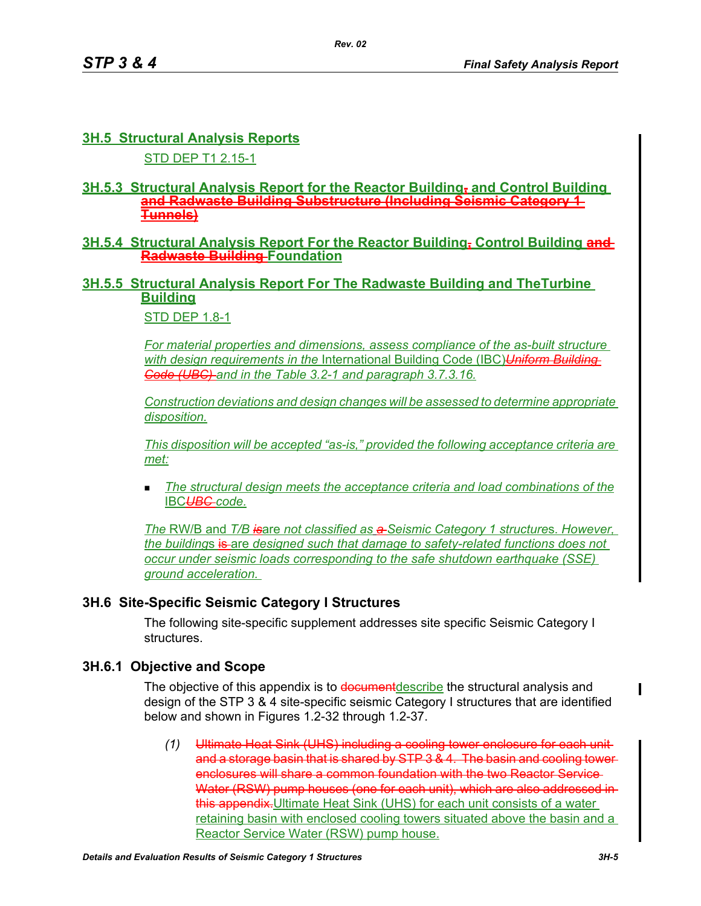# **3H.5 Structural Analysis Reports**

STD DEP T1 2.15-1

#### **3H.5.3 Structural Analysis Report for the Reactor Building, and Control Building and Radwaste Building Substructure (Including Seismic Category 1 Tunnels)**

#### **3H.5.4 Structural Analysis Report For the Reactor Building, Control Building and Radwaste Building Foundation**

# **3H.5.5 Structural Analysis Report For The Radwaste Building and TheTurbine Building**

STD DEP 1.8-1

*For material properties and dimensions, assess compliance of the as-built structure with design requirements in the* International Building Code (IBC)*Uniform Building Code (UBC) and in the Table 3.2-1 and paragraph 3.7.3.16.*

*Construction deviations and design changes will be assessed to determine appropriate disposition.*

*This disposition will be accepted "as-is," provided the following acceptance criteria are met:*

 *The structural design meets the acceptance criteria and load combinations of the* IBC*UBC code.*

*The* RW/B and *T/B is*are *not classified as a Seismic Category 1 structure*s. *However, the buildings* is are designed such that damage to safety-related functions does not *occur under seismic loads corresponding to the safe shutdown earthquake (SSE) ground acceleration.* 

## **3H.6 Site-Specific Seismic Category I Structures**

The following site-specific supplement addresses site specific Seismic Category I structures.

## **3H.6.1 Objective and Scope**

The objective of this appendix is to document describe the structural analysis and design of the STP 3 & 4 site-specific seismic Category I structures that are identified below and shown in Figures 1.2-32 through 1.2-37.

*(1)* Ultimate Heat Sink (UHS) including a cooling tower enclosure for each unit and a storage basin that is shared by STP 3 & 4. The basin and cooling tower enclosures will share a common foundation with the two Reactor Service-Water (RSW) pump houses (one for each unit), which are also addressed inthis appendix. Ultimate Heat Sink (UHS) for each unit consists of a water retaining basin with enclosed cooling towers situated above the basin and a Reactor Service Water (RSW) pump house.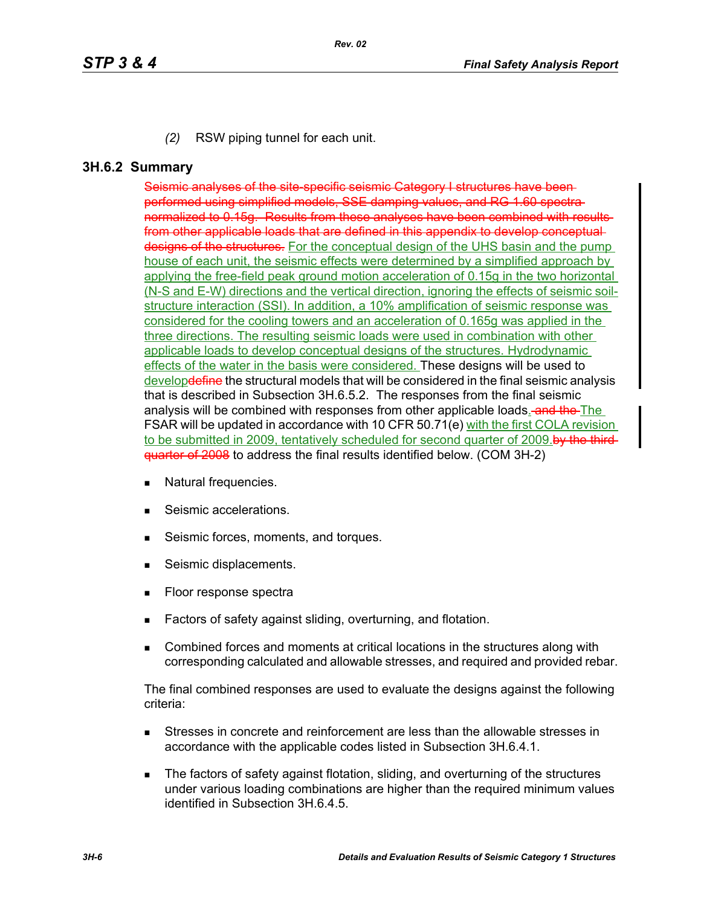*(2)* RSW piping tunnel for each unit.

#### **3H.6.2 Summary**

Seismic analyses of the site-specific seismic Category I structures have beenperformed using simplified models, SSE damping values, and RG 1.60 spectra normalized to 0.15g. Results from these analyses have been combined with results from other applicable loads that are defined in this appendix to develop conceptual designs of the structures. For the conceptual design of the UHS basin and the pump house of each unit, the seismic effects were determined by a simplified approach by applying the free-field peak ground motion acceleration of 0.15g in the two horizontal (N-S and E-W) directions and the vertical direction, ignoring the effects of seismic soilstructure interaction (SSI). In addition, a 10% amplification of seismic response was considered for the cooling towers and an acceleration of 0.165g was applied in the three directions. The resulting seismic loads were used in combination with other applicable loads to develop conceptual designs of the structures. Hydrodynamic effects of the water in the basis were considered. These designs will be used to develop<del>define</del> the structural models that will be considered in the final seismic analysis that is described in Subsection 3H.6.5.2. The responses from the final seismic analysis will be combined with responses from other applicable loads. and the The FSAR will be updated in accordance with 10 CFR 50.71(e) with the first COLA revision to be submitted in 2009, tentatively scheduled for second quarter of 2009.by the thirdquarter of 2008 to address the final results identified below. (COM 3H-2)

- **Natural frequencies.**
- Seismic accelerations.
- Seismic forces, moments, and torques.
- Seismic displacements.
- **Floor response spectra**
- Factors of safety against sliding, overturning, and flotation.
- **EXECOMBINED FORCER** COMBINED And moments at critical locations in the structures along with corresponding calculated and allowable stresses, and required and provided rebar.

The final combined responses are used to evaluate the designs against the following criteria:

- Stresses in concrete and reinforcement are less than the allowable stresses in accordance with the applicable codes listed in Subsection 3H.6.4.1.
- The factors of safety against flotation, sliding, and overturning of the structures under various loading combinations are higher than the required minimum values identified in Subsection 3H.6.4.5.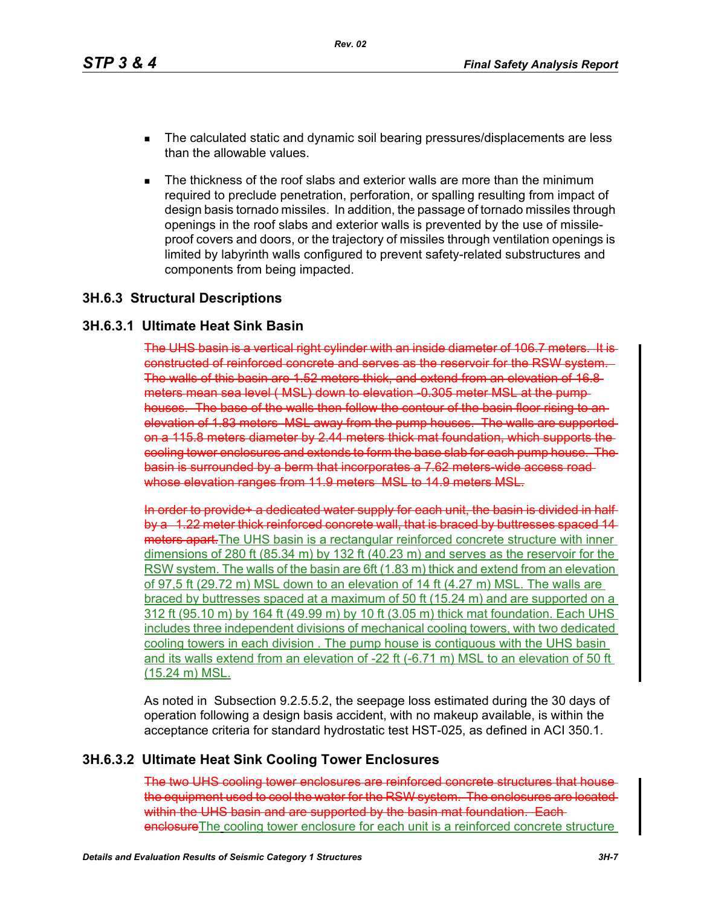- The calculated static and dynamic soil bearing pressures/displacements are less than the allowable values.
- The thickness of the roof slabs and exterior walls are more than the minimum required to preclude penetration, perforation, or spalling resulting from impact of design basis tornado missiles. In addition, the passage of tornado missiles through openings in the roof slabs and exterior walls is prevented by the use of missileproof covers and doors, or the trajectory of missiles through ventilation openings is limited by labyrinth walls configured to prevent safety-related substructures and components from being impacted.

#### **3H.6.3 Structural Descriptions**

#### **3H.6.3.1 Ultimate Heat Sink Basin**

The UHS basin is a vertical right cylinder with an inside diameter of 106.7 meters. constructed of reinforced concrete and serves as the reservoir for the RSW system. The walls of this basin are 1.52 meters thick, and extend from an elevation of 16.8 meters mean sea level (MSL) down to elevation 0.305 meter MSL at the pumphouses. The base of the walls then follow the contour of the basin floor rising to an elevation of 1.83 meters MSL away from the pump houses. The walls are supported on a 115.8 meters diameter by 2.44 meters thick mat foundation, which supports the cooling tower enclosures and extends to form the base slab for each pump house. The basin is surrounded by a berm that incorporates a 7.62 meters-wide access road whose elevation ranges from 11.9 meters MSL to 14.9 meters MSL.

In order to provide+ a dedicated water supply for each unit, the basin is divided in half by a 1.22 meter thick reinforced concrete wall, that is braced by buttresses spaced 14 meters apart. The UHS basin is a rectangular reinforced concrete structure with inner dimensions of 280 ft (85.34 m) by 132 ft (40.23 m) and serves as the reservoir for the RSW system. The walls of the basin are 6ft (1.83 m) thick and extend from an elevation of 97,5 ft (29.72 m) MSL down to an elevation of 14 ft (4.27 m) MSL. The walls are braced by buttresses spaced at a maximum of 50 ft (15.24 m) and are supported on a 312 ft (95.10 m) by 164 ft (49.99 m) by 10 ft (3.05 m) thick mat foundation. Each UHS includes three independent divisions of mechanical cooling towers, with two dedicated cooling towers in each division . The pump house is contiguous with the UHS basin and its walls extend from an elevation of -22 ft (-6.71 m) MSL to an elevation of 50 ft (15.24 m) MSL.

As noted in Subsection 9.2.5.5.2, the seepage loss estimated during the 30 days of operation following a design basis accident, with no makeup available, is within the acceptance criteria for standard hydrostatic test HST-025, as defined in ACI 350.1.

## **3H.6.3.2 Ultimate Heat Sink Cooling Tower Enclosures**

The two UHS cooling tower enclosures are reinforced concrete structures that house the equipment used to cool the water for the RSW system. The enclosures are located within the UHS basin and are supported by the basin mat foundation. Eachenclosure The cooling tower enclosure for each unit is a reinforced concrete structure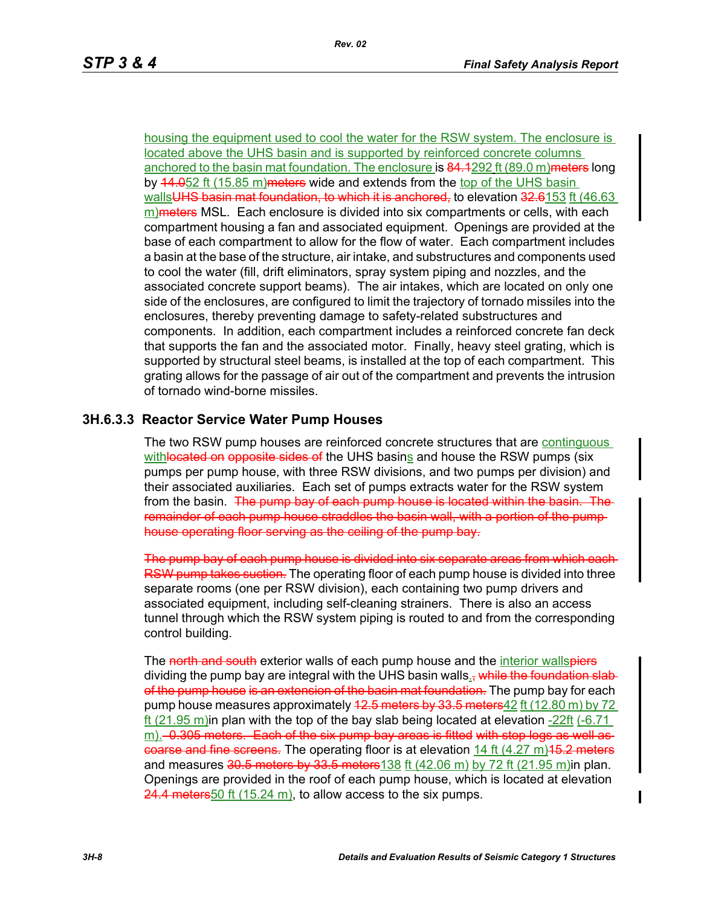housing the equipment used to cool the water for the RSW system. The enclosure is located above the UHS basin and is supported by reinforced concrete columns anchored to the basin mat foundation. The enclosure is 84.4292 ft (89.0 m) meters long by 44.052 ft (15.85 m) meters wide and extends from the top of the UHS basin walls<del>UHS basin mat foundation, to which it is anchored,</del> to elevation 32.6153 ft (46.63  $m$ ) meters MSL. Each enclosure is divided into six compartments or cells, with each compartment housing a fan and associated equipment. Openings are provided at the base of each compartment to allow for the flow of water. Each compartment includes a basin at the base of the structure, air intake, and substructures and components used to cool the water (fill, drift eliminators, spray system piping and nozzles, and the associated concrete support beams). The air intakes, which are located on only one side of the enclosures, are configured to limit the trajectory of tornado missiles into the enclosures, thereby preventing damage to safety-related substructures and components. In addition, each compartment includes a reinforced concrete fan deck that supports the fan and the associated motor. Finally, heavy steel grating, which is supported by structural steel beams, is installed at the top of each compartment. This grating allows for the passage of air out of the compartment and prevents the intrusion of tornado wind-borne missiles.

# **3H.6.3.3 Reactor Service Water Pump Houses**

The two RSW pump houses are reinforced concrete structures that are continguous withlocated on opposite sides of the UHS basins and house the RSW pumps (six pumps per pump house, with three RSW divisions, and two pumps per division) and their associated auxiliaries. Each set of pumps extracts water for the RSW system from the basin. The pump bay of each pump house is located within the basin. The remainder of each pump house straddles the basin wall, with a portion of the pump house operating floor serving as the ceiling of the pump bay.

The pump bay of each pump house is divided into six separate areas from which each RSW pump takes suction. The operating floor of each pump house is divided into three separate rooms (one per RSW division), each containing two pump drivers and associated equipment, including self-cleaning strainers. There is also an access tunnel through which the RSW system piping is routed to and from the corresponding control building.

The north and south exterior walls of each pump house and the interior wallspiers dividing the pump bay are integral with the UHS basin walls., while the foundation slabof the pump house is an extension of the basin mat foundation. The pump bay for each pump house measures approximately 42.5 meters by 33.5 meters 42 ft (12.80 m) by 72 ft (21.95 m) in plan with the top of the bay slab being located at elevation  $-22$ ft (-6.71 m).–0.305 meters. Each of the six pump bay areas is fitted with stop logs as well ascoarse and fine screens. The operating floor is at elevation 14 ft  $(4.27 \text{ m})$ 15.2 meters and measures  $30.5$  meters by  $33.5$  meters 138 ft (42.06 m) by 72 ft (21.95 m) in plan. Openings are provided in the roof of each pump house, which is located at elevation  $24.4$  meters 50 ft (15.24 m), to allow access to the six pumps.

 $\mathbf I$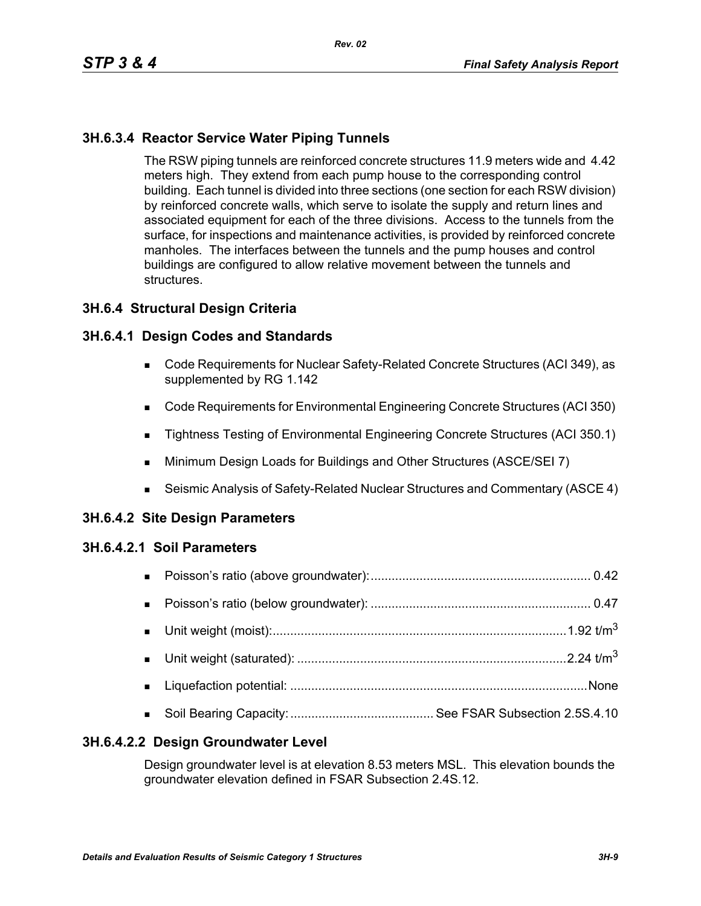*Rev. 02*

# **3H.6.3.4 Reactor Service Water Piping Tunnels**

The RSW piping tunnels are reinforced concrete structures 11.9 meters wide and 4.42 meters high. They extend from each pump house to the corresponding control building. Each tunnel is divided into three sections (one section for each RSW division) by reinforced concrete walls, which serve to isolate the supply and return lines and associated equipment for each of the three divisions. Access to the tunnels from the surface, for inspections and maintenance activities, is provided by reinforced concrete manholes. The interfaces between the tunnels and the pump houses and control buildings are configured to allow relative movement between the tunnels and structures.

#### **3H.6.4 Structural Design Criteria**

#### **3H.6.4.1 Design Codes and Standards**

- Code Requirements for Nuclear Safety-Related Concrete Structures (ACI 349), as supplemented by RG 1.142
- Code Requirements for Environmental Engineering Concrete Structures (ACI 350)
- Tightness Testing of Environmental Engineering Concrete Structures (ACI 350.1)
- **Minimum Design Loads for Buildings and Other Structures (ASCE/SEI 7)**
- Seismic Analysis of Safety-Related Nuclear Structures and Commentary (ASCE 4)

#### **3H.6.4.2 Site Design Parameters**

#### **3H.6.4.2.1 Soil Parameters**

| $\mathbf{u}$ . |  |
|----------------|--|
|                |  |
|                |  |
|                |  |
|                |  |

#### **3H.6.4.2.2 Design Groundwater Level**

Design groundwater level is at elevation 8.53 meters MSL. This elevation bounds the groundwater elevation defined in FSAR Subsection 2.4S.12.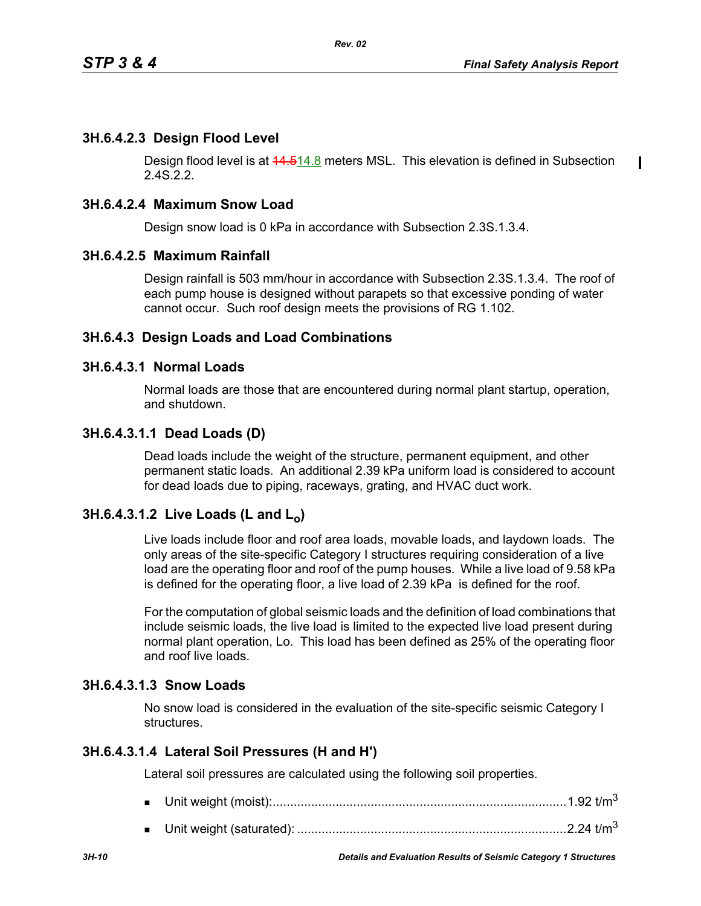$\blacksquare$ 

# **3H.6.4.2.3 Design Flood Level**

Design flood level is at 14.514.8 meters MSL. This elevation is defined in Subsection 2.4S.2.2.

# **3H.6.4.2.4 Maximum Snow Load**

Design snow load is 0 kPa in accordance with Subsection 2.3S.1.3.4.

# **3H.6.4.2.5 Maximum Rainfall**

Design rainfall is 503 mm/hour in accordance with Subsection 2.3S.1.3.4. The roof of each pump house is designed without parapets so that excessive ponding of water cannot occur. Such roof design meets the provisions of RG 1.102.

## **3H.6.4.3 Design Loads and Load Combinations**

## **3H.6.4.3.1 Normal Loads**

Normal loads are those that are encountered during normal plant startup, operation, and shutdown.

# **3H.6.4.3.1.1 Dead Loads (D)**

Dead loads include the weight of the structure, permanent equipment, and other permanent static loads. An additional 2.39 kPa uniform load is considered to account for dead loads due to piping, raceways, grating, and HVAC duct work.

# **3H.6.4.3.1.2 Live Loads (L and L<sub>o</sub>)**

Live loads include floor and roof area loads, movable loads, and laydown loads. The only areas of the site-specific Category I structures requiring consideration of a live load are the operating floor and roof of the pump houses. While a live load of 9.58 kPa is defined for the operating floor, a live load of 2.39 kPa is defined for the roof.

For the computation of global seismic loads and the definition of load combinations that include seismic loads, the live load is limited to the expected live load present during normal plant operation, Lo. This load has been defined as 25% of the operating floor and roof live loads.

# **3H.6.4.3.1.3 Snow Loads**

No snow load is considered in the evaluation of the site-specific seismic Category I structures.

## **3H.6.4.3.1.4 Lateral Soil Pressures (H and H')**

Lateral soil pressures are calculated using the following soil properties.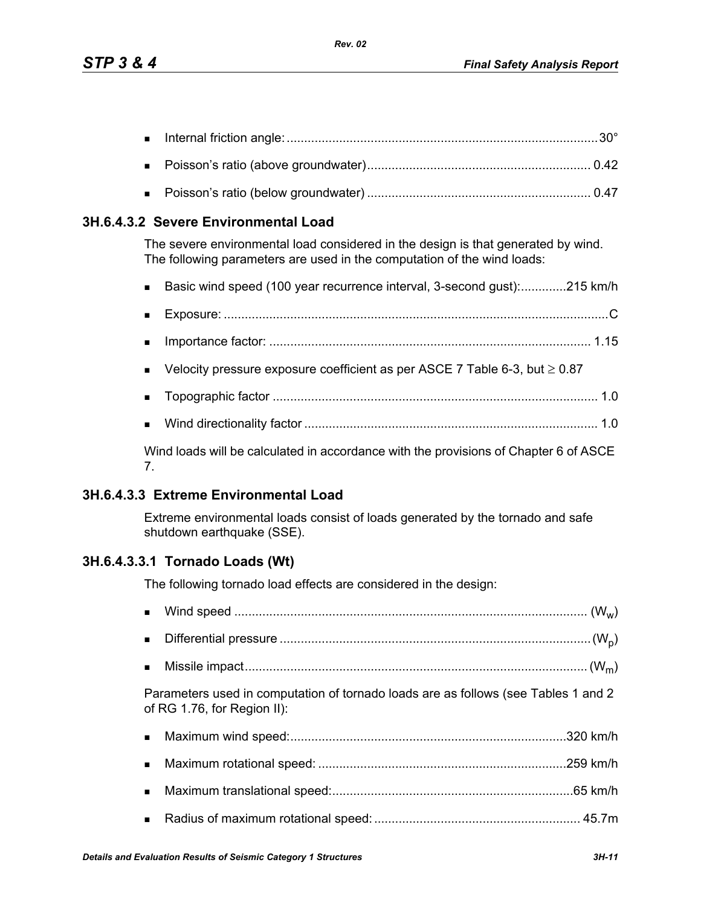|--|--|--|--|

- Poisson's ratio (above groundwater)................................................................ 0.42
- Poisson's ratio (below groundwater) ................................................................ 0.47

## **3H.6.4.3.2 Severe Environmental Load**

The severe environmental load considered in the design is that generated by wind. The following parameters are used in the computation of the wind loads:

- Basic wind speed (100 year recurrence interval, 3-second gust):..............215 km/h
- Exposure: ..............................................................................................................C Importance factor: ............................................................................................ 1.15
- Velocity pressure exposure coefficient as per ASCE 7 Table 6-3, but  $\geq 0.87$
- Topographic factor ............................................................................................. 1.0
- Wind directionality factor .................................................................................... 1.0

Wind loads will be calculated in accordance with the provisions of Chapter 6 of ASCE 7.

## **3H.6.4.3.3 Extreme Environmental Load**

Extreme environmental loads consist of loads generated by the tornado and safe shutdown earthquake (SSE).

## **3H.6.4.3.3.1 Tornado Loads (Wt)**

The following tornado load effects are considered in the design:

| $\blacksquare$ |                                                                                                                   |
|----------------|-------------------------------------------------------------------------------------------------------------------|
| $\blacksquare$ |                                                                                                                   |
|                | Parameters used in computation of tornado loads are as follows (see Tables 1 and 2<br>of RG 1.76, for Region II): |
| $\blacksquare$ |                                                                                                                   |
| $\blacksquare$ |                                                                                                                   |
| $\blacksquare$ |                                                                                                                   |
|                |                                                                                                                   |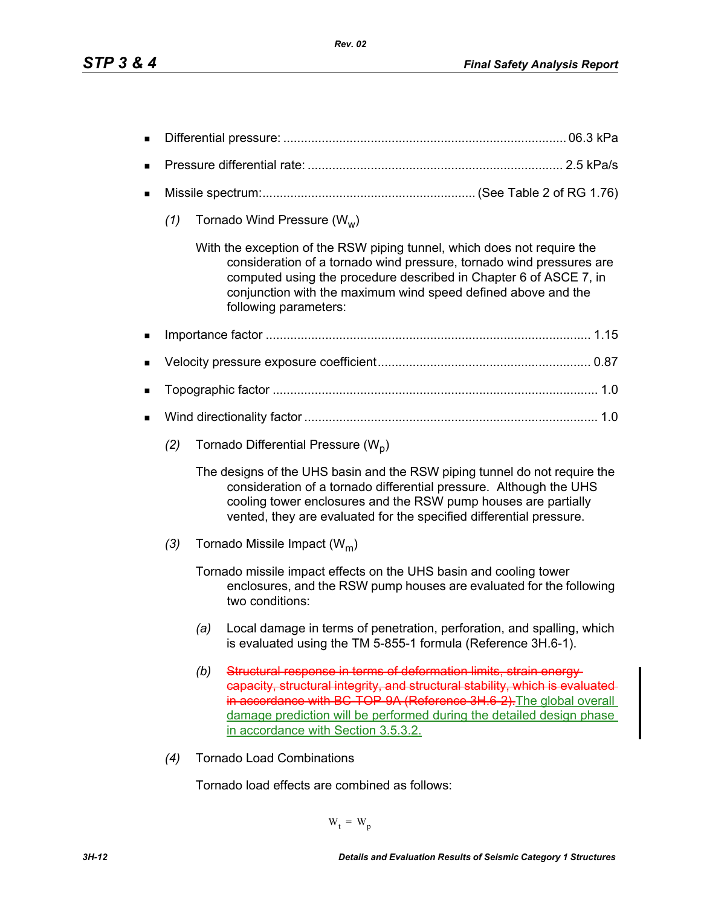| ■ |     |     |                                                                                                                                                                                                                                                                                                                                           |  |
|---|-----|-----|-------------------------------------------------------------------------------------------------------------------------------------------------------------------------------------------------------------------------------------------------------------------------------------------------------------------------------------------|--|
| ■ |     |     |                                                                                                                                                                                                                                                                                                                                           |  |
| ■ |     |     |                                                                                                                                                                                                                                                                                                                                           |  |
|   | (1) |     | Tornado Wind Pressure ( $W_w$ )                                                                                                                                                                                                                                                                                                           |  |
|   |     |     | With the exception of the RSW piping tunnel, which does not require the<br>consideration of a tornado wind pressure, tornado wind pressures are<br>computed using the procedure described in Chapter 6 of ASCE 7, in<br>conjunction with the maximum wind speed defined above and the<br>following parameters:                            |  |
| п |     |     |                                                                                                                                                                                                                                                                                                                                           |  |
| ■ |     |     |                                                                                                                                                                                                                                                                                                                                           |  |
| п |     |     |                                                                                                                                                                                                                                                                                                                                           |  |
| ■ |     |     |                                                                                                                                                                                                                                                                                                                                           |  |
|   | (2) |     | Tornado Differential Pressure (W <sub>D</sub> )                                                                                                                                                                                                                                                                                           |  |
|   |     |     | The designs of the UHS basin and the RSW piping tunnel do not require the<br>consideration of a tornado differential pressure. Although the UHS<br>cooling tower enclosures and the RSW pump houses are partially<br>vented, they are evaluated for the specified differential pressure.                                                  |  |
|   | (3) |     | Tornado Missile Impact ( $W_m$ )                                                                                                                                                                                                                                                                                                          |  |
|   |     |     | Tornado missile impact effects on the UHS basin and cooling tower<br>enclosures, and the RSW pump houses are evaluated for the following<br>two conditions:                                                                                                                                                                               |  |
|   |     | (a) | Local damage in terms of penetration, perforation, and spalling, which<br>is evaluated using the TM 5-855-1 formula (Reference 3H.6-1).                                                                                                                                                                                                   |  |
|   |     | (b) | Structural response in terms of deformation limits, strain energy-<br>capacity, structural integrity, and structural stability, which is evaluated-<br>in accordance with BC TOP 9A (Reference 3H.6 2). The global overall<br>damage prediction will be performed during the detailed design phase<br>in accordance with Section 3.5.3.2. |  |
|   | (4) |     | <b>Tornado Load Combinations</b>                                                                                                                                                                                                                                                                                                          |  |

Tornado load effects are combined as follows:

 $W_t = W_p$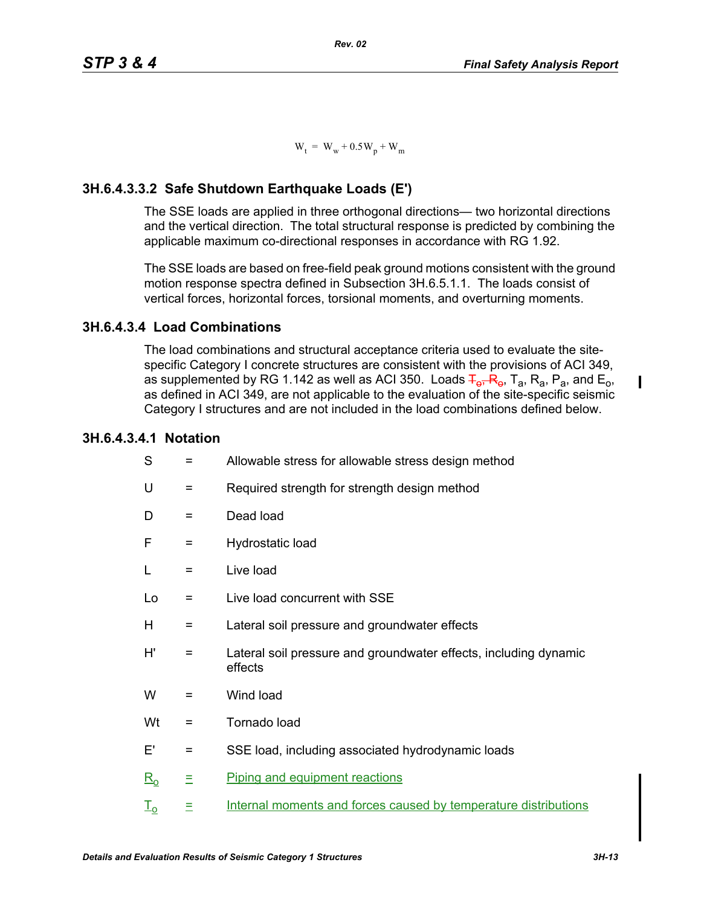$W_t = W_w + 0.5W_p + W_m$ 

# **3H.6.4.3.3.2 Safe Shutdown Earthquake Loads (E')**

The SSE loads are applied in three orthogonal directions— two horizontal directions and the vertical direction. The total structural response is predicted by combining the applicable maximum co-directional responses in accordance with RG 1.92.

The SSE loads are based on free-field peak ground motions consistent with the ground motion response spectra defined in Subsection 3H.6.5.1.1. The loads consist of vertical forces, horizontal forces, torsional moments, and overturning moments.

## **3H.6.4.3.4 Load Combinations**

The load combinations and structural acceptance criteria used to evaluate the sitespecific Category I concrete structures are consistent with the provisions of ACI 349, as supplemented by RG 1.142 as well as ACI 350. Loads  $\overline{F}_{\theta}$ ,  $\overline{R}_{\theta}$ ,  $\overline{R}_{a}$ ,  $\overline{R}_{a}$ ,  $\overline{P}_{a}$ , and  $\overline{E}_{0}$ , as defined in ACI 349, are not applicable to the evaluation of the site-specific seismic Category I structures and are not included in the load combinations defined below.

## **3H.6.4.3.4.1 Notation**

| S                 | =   | Allowable stress for allowable stress design method                         |
|-------------------|-----|-----------------------------------------------------------------------------|
| U                 | Ξ   | Required strength for strength design method                                |
| D                 | $=$ | Dead load                                                                   |
| F                 | $=$ | Hydrostatic load                                                            |
| L                 | Ξ   | Live load                                                                   |
| Lo                | =   | Live load concurrent with SSE                                               |
| Н                 | Ξ   | Lateral soil pressure and groundwater effects                               |
| H'                | =   | Lateral soil pressure and groundwater effects, including dynamic<br>effects |
| W                 | =   | Wind load                                                                   |
| Wt                | $=$ | Tornado load                                                                |
| E'                | =   | SSE load, including associated hydrodynamic loads                           |
| $\underline{R_0}$ | Ξ   | Piping and equipment reactions                                              |
| I <sub>o</sub>    | Ξ   | Internal moments and forces caused by temperature distributions             |

I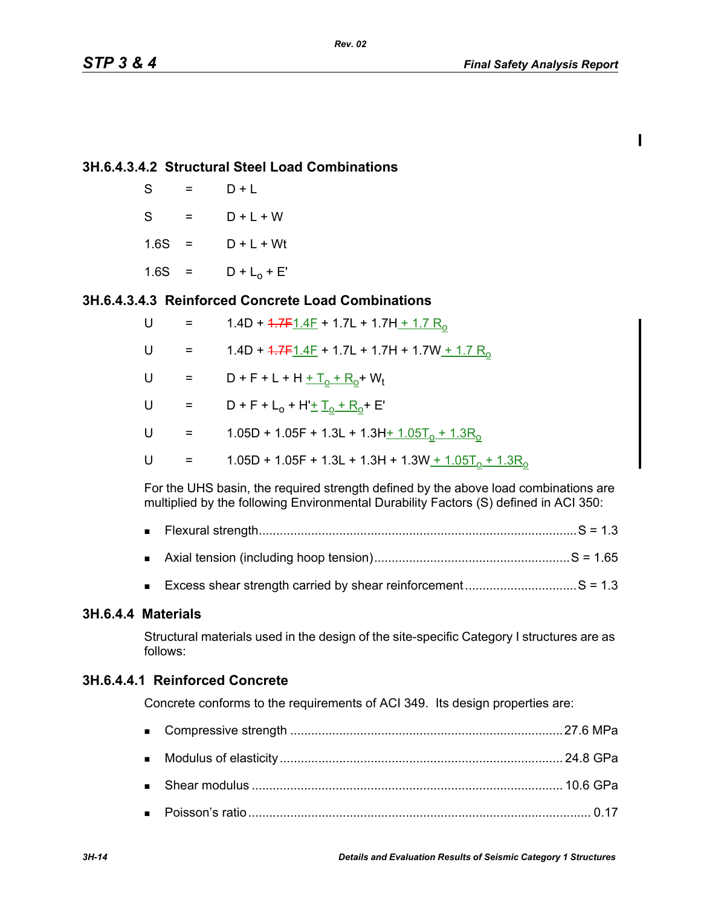$\mathbf I$ 

#### **3H.6.4.3.4.2 Structural Steel Load Combinations**

| S    |     | $D + I$        |
|------|-----|----------------|
| S    | $=$ | $D + L + W$    |
| 1.6S | $=$ | $D + L + Wt$   |
| 1.6S | $=$ | $D + L_0 + E'$ |

## **3H.6.4.3.4.3 Reinforced Concrete Load Combinations**

| U | $\equiv$                  | 1.4D + $4.7F1.4F$ + 1.7L + 1.7H + 1.7 R <sub>0</sub>        |
|---|---------------------------|-------------------------------------------------------------|
| U | $=$                       | 1.4D + $4.7F1.4F$ + 1.7L + 1.7H + 1.7W + 1.7 R <sub>o</sub> |
| U | $\alpha = 1$              | $D + F + L + H + T_0 + R_0 + W_t$                           |
| U | $\alpha = 0.05$           | $D + F + L_0 + H' + L_0 + R_0 + E'$                         |
| U | $\alpha = \alpha$         | 1.05D + 1.05F + 1.3L + 1.3H + $1.05T_0$ + $1.3R_0$          |
| U | $\mathbf{r} = \mathbf{r}$ | 1.05D + 1.05F + 1.3L + 1.3H + 1.3W + $1.05T_0 + 1.3R_0$     |

For the UHS basin, the required strength defined by the above load combinations are multiplied by the following Environmental Durability Factors (S) defined in ACI 350:

| ■ |  |  |  |  |  |
|---|--|--|--|--|--|
|---|--|--|--|--|--|

- Axial tension (including hoop tension)........................................................S = 1.65
- Excess shear strength carried by shear reinforcement................................S = 1.3

#### **3H.6.4.4 Materials**

Structural materials used in the design of the site-specific Category I structures are as follows:

#### **3H.6.4.4.1 Reinforced Concrete**

Concrete conforms to the requirements of ACI 349. Its design properties are: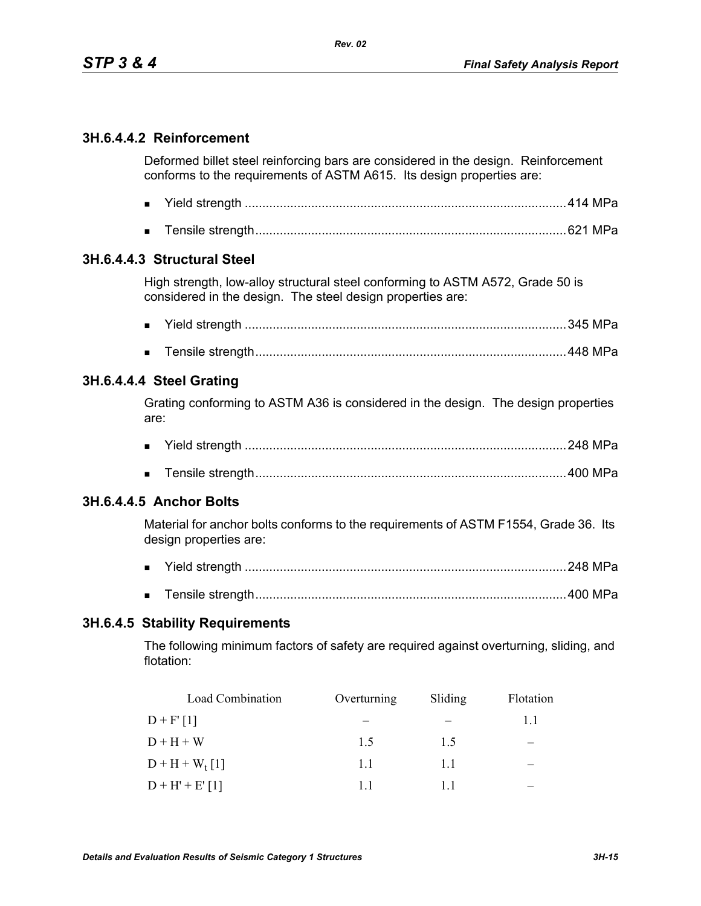# **3H.6.4.4.2 Reinforcement**

Deformed billet steel reinforcing bars are considered in the design. Reinforcement conforms to the requirements of ASTM A615. Its design properties are:

- Yield strength ............................................................................................414 MPa
- Tensile strength.........................................................................................621 MPa

#### **3H.6.4.4.3 Structural Steel**

High strength, low-alloy structural steel conforming to ASTM A572, Grade 50 is considered in the design. The steel design properties are:

- Yield strength ............................................................................................345 MPa
- Tensile strength.........................................................................................448 MPa

#### **3H.6.4.4.4 Steel Grating**

Grating conforming to ASTM A36 is considered in the design. The design properties are:

- Yield strength ............................................................................................248 MPa
- Tensile strength.........................................................................................400 MPa

## **3H.6.4.4.5 Anchor Bolts**

Material for anchor bolts conforms to the requirements of ASTM F1554, Grade 36. Its design properties are:

- Yield strength ............................................................................................248 MPa
- Tensile strength.........................................................................................400 MPa

#### **3H.6.4.5 Stability Requirements**

The following minimum factors of safety are required against overturning, sliding, and flotation:

| <b>Load Combination</b> | Overturning | Sliding | Flotation |
|-------------------------|-------------|---------|-----------|
| $D + F' [1]$            |             |         | 11        |
| $D + H + W$             | 15          | 15      |           |
| $D + H + W_{t}[1]$      | 11          | 11      |           |
| $D + H' + E'[1]$        | 11          |         |           |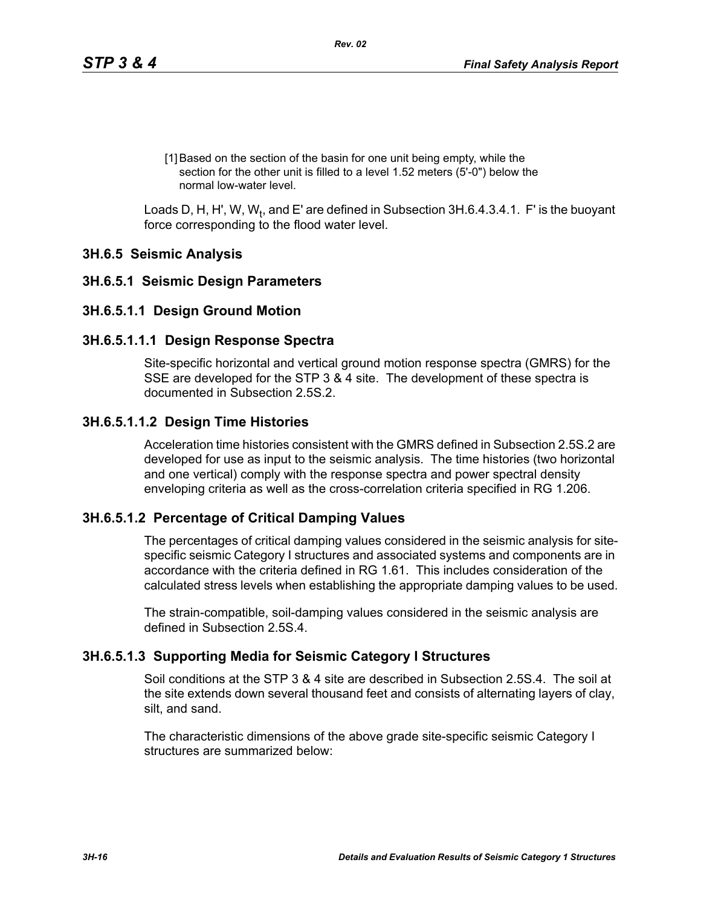[1] Based on the section of the basin for one unit being empty, while the section for the other unit is filled to a level 1.52 meters (5'-0") below the normal low-water level.

Loads D, H, H', W, W<sub>t</sub>, and E' are defined in Subsection 3H.6.4.3.4.1. F' is the buoyant force corresponding to the flood water level.

## **3H.6.5 Seismic Analysis**

#### **3H.6.5.1 Seismic Design Parameters**

#### **3H.6.5.1.1 Design Ground Motion**

#### **3H.6.5.1.1.1 Design Response Spectra**

Site-specific horizontal and vertical ground motion response spectra (GMRS) for the SSE are developed for the STP 3 & 4 site. The development of these spectra is documented in Subsection 2.5S.2.

#### **3H.6.5.1.1.2 Design Time Histories**

Acceleration time histories consistent with the GMRS defined in Subsection 2.5S.2 are developed for use as input to the seismic analysis. The time histories (two horizontal and one vertical) comply with the response spectra and power spectral density enveloping criteria as well as the cross-correlation criteria specified in RG 1.206.

## **3H.6.5.1.2 Percentage of Critical Damping Values**

The percentages of critical damping values considered in the seismic analysis for sitespecific seismic Category I structures and associated systems and components are in accordance with the criteria defined in RG 1.61. This includes consideration of the calculated stress levels when establishing the appropriate damping values to be used.

The strain-compatible, soil-damping values considered in the seismic analysis are defined in Subsection 2.5S.4

#### **3H.6.5.1.3 Supporting Media for Seismic Category I Structures**

Soil conditions at the STP 3 & 4 site are described in Subsection 2.5S.4. The soil at the site extends down several thousand feet and consists of alternating layers of clay, silt, and sand.

The characteristic dimensions of the above grade site-specific seismic Category I structures are summarized below: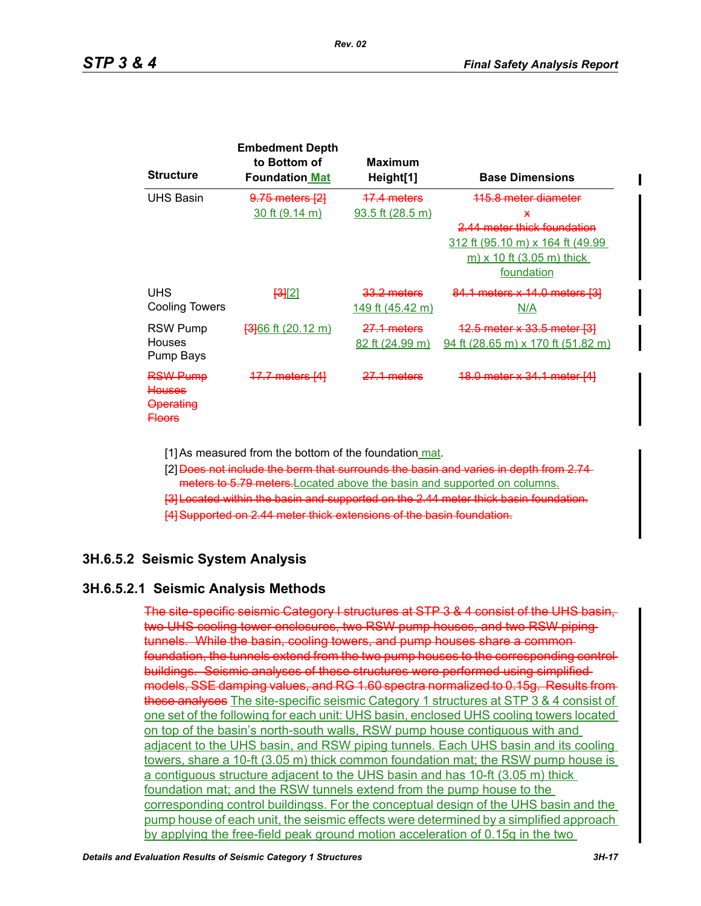| <b>Structure</b>                                                                      | <b>Embedment Depth</b><br>to Bottom of<br><b>Foundation Mat</b> | Maximum<br>Height[1]              | <b>Base Dimensions</b>                                                                                                                                    |
|---------------------------------------------------------------------------------------|-----------------------------------------------------------------|-----------------------------------|-----------------------------------------------------------------------------------------------------------------------------------------------------------|
| <b>UHS Basin</b>                                                                      | <del>9.75 meters [2]</del><br>$30$ ft $(9.14 \text{ m})$        | 17.4 meters<br>$93.5$ ft (28.5 m) | <del>115.8 meter diameter</del><br>Ж<br>2.44 meter thick foundation<br>312 ft (95.10 m) x 164 ft (49.99<br><u>m) x 10 ft (3.05 m) thick</u><br>foundation |
| <b>UHS</b><br>Cooling Towers                                                          | <u> [3][2]</u>                                                  | 33.2 meters<br>149 ft (45.42 m)   | 84.1 meters x 14.0 meters [3]<br>N/A                                                                                                                      |
| RSW Pump<br>Houses<br>Pump Bays                                                       | <del>[3]</del> 66 ft (20.12 m)                                  | 27.1 meters<br>82 ft (24.99 m)    | <del>12.5 meter x 33.5 meter [3]</del><br>$94$ ft (28.65 m) x 170 ft (51.82 m)                                                                            |
| <del>RSW Pump</del><br><del>Houses</del><br><del>Operating</del><br><del>Floors</del> | <del>17.7 meters [4]</del>                                      | <del>27.1 meters</del>            | <del>18.0 meter x 34.1 meter [4]</del>                                                                                                                    |

[1] As measured from the bottom of the foundation mat.

- [2] Does not include the berm that surrounds the basin and varies in depth from 2.74 meters to 5.79 meters. Located above the basin and supported on columns.
- [3] Located within the basin and supported on the 2.44 meter thick basin foundation.
- [4] Supported on 2.44 meter thick extensions of the basin foundation.

## **3H.6.5.2 Seismic System Analysis**

#### **3H.6.5.2.1 Seismic Analysis Methods**

The site-specific seismic Category I structures at STP 3 & 4 consist of the UHS basin, two UHS cooling tower enclosures, two RSW pump houses, and two RSW piping tunnels. While the basin, cooling towers, and pump houses share a common foundation, the tunnels extend from the two pump houses to the corresponding control buildings. Seismic analyses of these structures were performed using simplified models, SSE damping values, and RG 1.60 spectra normalized to 0.15g. Results from these analyses The site-specific seismic Category 1 structures at STP 3 & 4 consist of one set of the following for each unit: UHS basin, enclosed UHS cooling towers located on top of the basin's north-south walls, RSW pump house contiguous with and adjacent to the UHS basin, and RSW piping tunnels. Each UHS basin and its cooling towers, share a 10-ft (3.05 m) thick common foundation mat; the RSW pump house is a contiguous structure adjacent to the UHS basin and has 10-ft (3.05 m) thick foundation mat; and the RSW tunnels extend from the pump house to the corresponding control buildingss. For the conceptual design of the UHS basin and the pump house of each unit, the seismic effects were determined by a simplified approach by applying the free-field peak ground motion acceleration of 0.15g in the two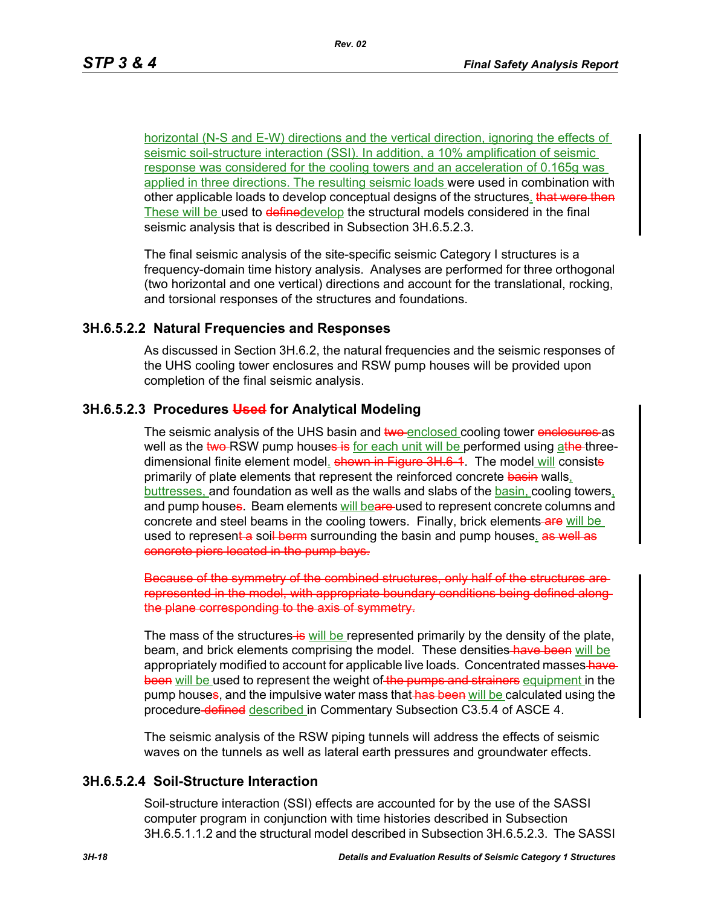horizontal (N-S and E-W) directions and the vertical direction, ignoring the effects of seismic soil-structure interaction (SSI). In addition, a 10% amplification of seismic response was considered for the cooling towers and an acceleration of 0.165g was applied in three directions. The resulting seismic loads were used in combination with other applicable loads to develop conceptual designs of the structures. that were then These will be used to definedevelop the structural models considered in the final seismic analysis that is described in Subsection 3H.6.5.2.3.

The final seismic analysis of the site-specific seismic Category I structures is a frequency-domain time history analysis. Analyses are performed for three orthogonal (two horizontal and one vertical) directions and account for the translational, rocking, and torsional responses of the structures and foundations.

#### **3H.6.5.2.2 Natural Frequencies and Responses**

As discussed in Section 3H.6.2, the natural frequencies and the seismic responses of the UHS cooling tower enclosures and RSW pump houses will be provided upon completion of the final seismic analysis.

#### **3H.6.5.2.3 Procedures Used for Analytical Modeling**

The seismic analysis of the UHS basin and two enclosed cooling tower enclosures as well as the two-RSW pump houses is for each unit will be performed using athe threedimensional finite element model. **shown in Figure 3H.6-1**. The model will consiste primarily of plate elements that represent the reinforced concrete basin walls, buttresses, and foundation as well as the walls and slabs of the basin, cooling towers, and pump houses. Beam elements will beare-used to represent concrete columns and concrete and steel beams in the cooling towers. Finally, brick elements-are will be used to represent a soil berm surrounding the basin and pump houses. as well as concrete piers located in the pump bays.

Because of the symmetry of the combined structures, only half of the structures are represented in the model, with appropriate boundary conditions being defined along the plane corresponding to the axis of symmetry.

The mass of the structures is will be represented primarily by the density of the plate, beam, and brick elements comprising the model. These densities have been will be appropriately modified to account for applicable live loads. Concentrated masses-havebeen will be used to represent the weight of the pumps and strainers equipment in the pump houses, and the impulsive water mass that has been will be calculated using the procedure-defined described in Commentary Subsection C3.5.4 of ASCE 4.

The seismic analysis of the RSW piping tunnels will address the effects of seismic waves on the tunnels as well as lateral earth pressures and groundwater effects.

# **3H.6.5.2.4 Soil-Structure Interaction**

Soil-structure interaction (SSI) effects are accounted for by the use of the SASSI computer program in conjunction with time histories described in Subsection 3H.6.5.1.1.2 and the structural model described in Subsection 3H.6.5.2.3. The SASSI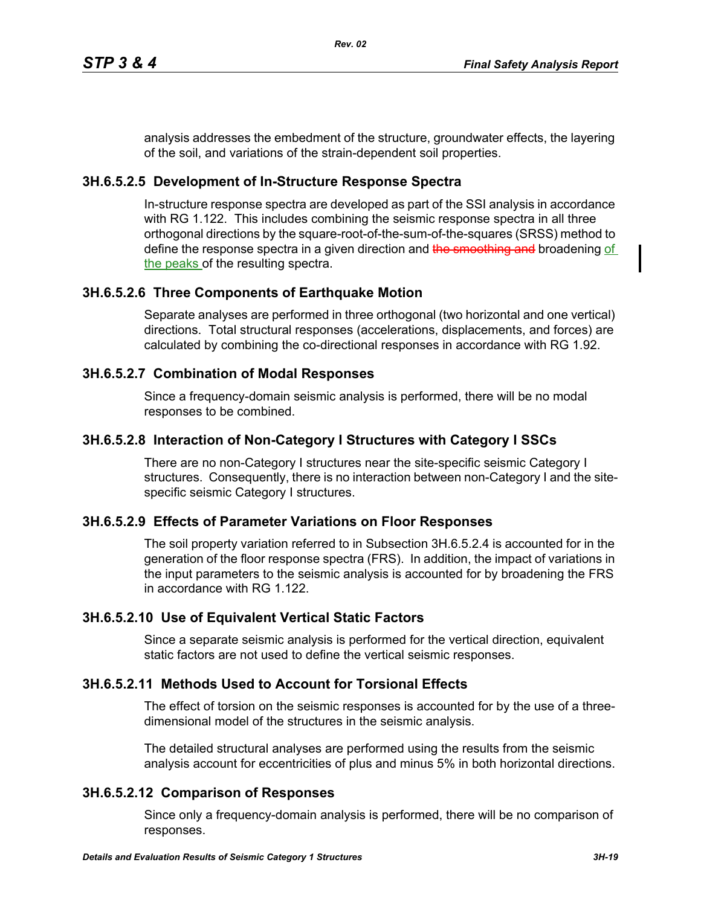analysis addresses the embedment of the structure, groundwater effects, the layering of the soil, and variations of the strain-dependent soil properties.

## **3H.6.5.2.5 Development of In-Structure Response Spectra**

In-structure response spectra are developed as part of the SSI analysis in accordance with RG 1.122. This includes combining the seismic response spectra in all three orthogonal directions by the square-root-of-the-sum-of-the-squares (SRSS) method to define the response spectra in a given direction and the smoothing and broadening of the peaks of the resulting spectra.

# **3H.6.5.2.6 Three Components of Earthquake Motion**

Separate analyses are performed in three orthogonal (two horizontal and one vertical) directions. Total structural responses (accelerations, displacements, and forces) are calculated by combining the co-directional responses in accordance with RG 1.92.

# **3H.6.5.2.7 Combination of Modal Responses**

Since a frequency-domain seismic analysis is performed, there will be no modal responses to be combined.

# **3H.6.5.2.8 Interaction of Non-Category I Structures with Category I SSCs**

There are no non-Category I structures near the site-specific seismic Category I structures. Consequently, there is no interaction between non-Category I and the sitespecific seismic Category I structures.

## **3H.6.5.2.9 Effects of Parameter Variations on Floor Responses**

The soil property variation referred to in Subsection 3H.6.5.2.4 is accounted for in the generation of the floor response spectra (FRS). In addition, the impact of variations in the input parameters to the seismic analysis is accounted for by broadening the FRS in accordance with RG 1.122.

# **3H.6.5.2.10 Use of Equivalent Vertical Static Factors**

Since a separate seismic analysis is performed for the vertical direction, equivalent static factors are not used to define the vertical seismic responses.

# **3H.6.5.2.11 Methods Used to Account for Torsional Effects**

The effect of torsion on the seismic responses is accounted for by the use of a threedimensional model of the structures in the seismic analysis.

The detailed structural analyses are performed using the results from the seismic analysis account for eccentricities of plus and minus 5% in both horizontal directions.

## **3H.6.5.2.12 Comparison of Responses**

Since only a frequency-domain analysis is performed, there will be no comparison of responses.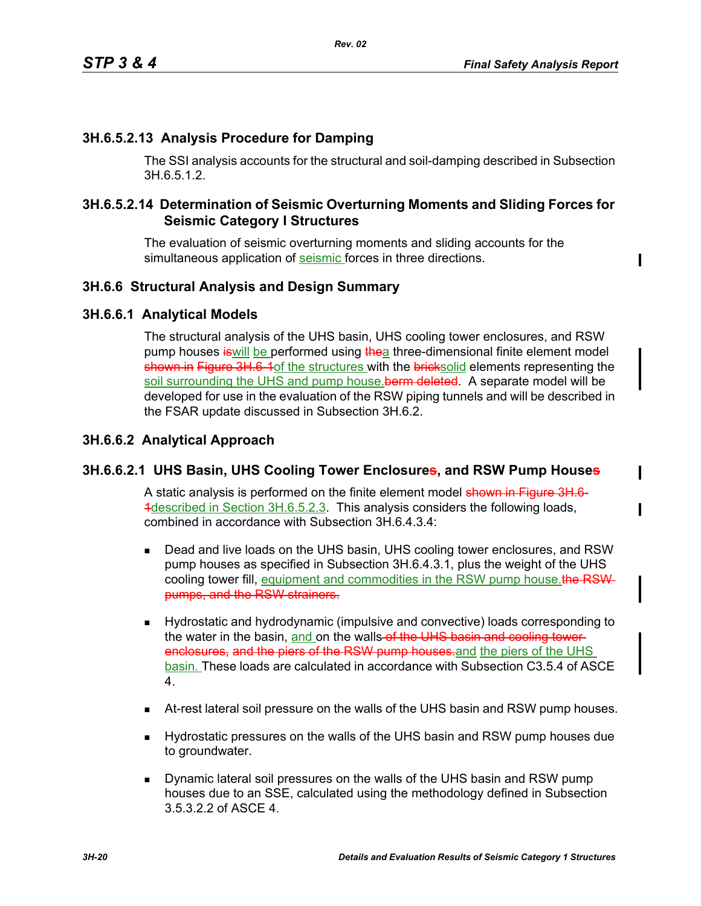# **3H.6.5.2.13 Analysis Procedure for Damping**

The SSI analysis accounts for the structural and soil-damping described in Subsection 3H.6.5.1.2.

## **3H.6.5.2.14 Determination of Seismic Overturning Moments and Sliding Forces for Seismic Category I Structures**

The evaluation of seismic overturning moments and sliding accounts for the simultaneous application of seismic forces in three directions.

## **3H.6.6 Structural Analysis and Design Summary**

#### **3H.6.6.1 Analytical Models**

The structural analysis of the UHS basin, UHS cooling tower enclosures, and RSW pump houses is will be performed using the a three-dimensional finite element model shown in Figure 3H.6-1of the structures with the bricksolid elements representing the soil surrounding the UHS and pump house. berm deleted. A separate model will be developed for use in the evaluation of the RSW piping tunnels and will be described in the FSAR update discussed in Subsection 3H.6.2.

## **3H.6.6.2 Analytical Approach**

#### **3H.6.6.2.1 UHS Basin, UHS Cooling Tower Enclosures, and RSW Pump Houses**

A static analysis is performed on the finite element model shown in Figure 3H.6-4described in Section 3H.6.5.2.3. This analysis considers the following loads, combined in accordance with Subsection 3H.6.4.3.4:

- Dead and live loads on the UHS basin, UHS cooling tower enclosures, and RSW pump houses as specified in Subsection 3H.6.4.3.1, plus the weight of the UHS cooling tower fill, equipment and commodities in the RSW pump house.the RSWpumps, and the RSW strainers.
- Hydrostatic and hydrodynamic (impulsive and convective) loads corresponding to the water in the basin, and on the walls of the UHS basin and cooling towerenclosures, and the piers of the RSW pump houses, and the piers of the UHS basin. These loads are calculated in accordance with Subsection C3.5.4 of ASCE 4.
- At-rest lateral soil pressure on the walls of the UHS basin and RSW pump houses.
- Hydrostatic pressures on the walls of the UHS basin and RSW pump houses due to groundwater.
- **Dynamic lateral soil pressures on the walls of the UHS basin and RSW pump** houses due to an SSE, calculated using the methodology defined in Subsection 3.5.3.2.2 of ASCE 4.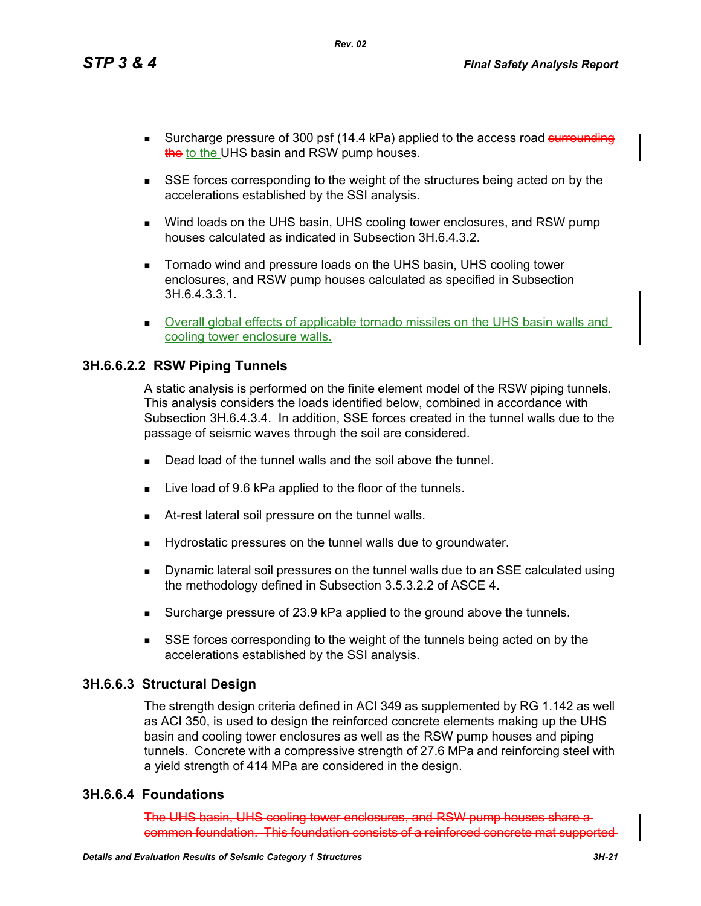- Surcharge pressure of 300 psf (14.4 kPa) applied to the access road surrounding the to the UHS basin and RSW pump houses.
- SSE forces corresponding to the weight of the structures being acted on by the accelerations established by the SSI analysis.
- Wind loads on the UHS basin, UHS cooling tower enclosures, and RSW pump houses calculated as indicated in Subsection 3H.6.4.3.2.
- Tornado wind and pressure loads on the UHS basin, UHS cooling tower enclosures, and RSW pump houses calculated as specified in Subsection 3H.6.4.3.3.1.
- **Dverall global effects of applicable tornado missiles on the UHS basin walls and** cooling tower enclosure walls.

#### **3H.6.6.2.2 RSW Piping Tunnels**

A static analysis is performed on the finite element model of the RSW piping tunnels. This analysis considers the loads identified below, combined in accordance with Subsection 3H.6.4.3.4. In addition, SSE forces created in the tunnel walls due to the passage of seismic waves through the soil are considered.

- Dead load of the tunnel walls and the soil above the tunnel.
- Live load of 9.6 kPa applied to the floor of the tunnels.
- At-rest lateral soil pressure on the tunnel walls.
- Hydrostatic pressures on the tunnel walls due to groundwater.
- Dynamic lateral soil pressures on the tunnel walls due to an SSE calculated using the methodology defined in Subsection 3.5.3.2.2 of ASCE 4.
- Surcharge pressure of 23.9 kPa applied to the ground above the tunnels.
- SSE forces corresponding to the weight of the tunnels being acted on by the accelerations established by the SSI analysis.

#### **3H.6.6.3 Structural Design**

The strength design criteria defined in ACI 349 as supplemented by RG 1.142 as well as ACI 350, is used to design the reinforced concrete elements making up the UHS basin and cooling tower enclosures as well as the RSW pump houses and piping tunnels. Concrete with a compressive strength of 27.6 MPa and reinforcing steel with a yield strength of 414 MPa are considered in the design.

#### **3H.6.6.4 Foundations**

The UHS basin, UHS cooling tower enclosures, and RSW pump houses common foundation. This foundation consists of a reinforced concrete mat supported

*Rev. 02*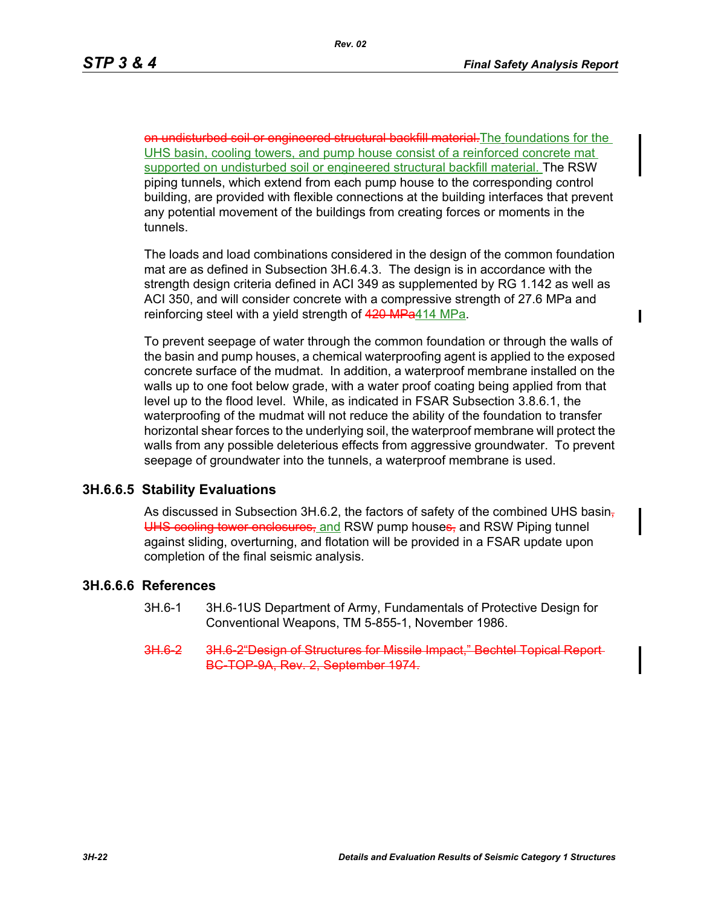$\mathbf I$ 

on undisturbed soil or engineered structural backfill material. The foundations for the UHS basin, cooling towers, and pump house consist of a reinforced concrete mat supported on undisturbed soil or engineered structural backfill material. The RSW piping tunnels, which extend from each pump house to the corresponding control building, are provided with flexible connections at the building interfaces that prevent any potential movement of the buildings from creating forces or moments in the tunnels.

The loads and load combinations considered in the design of the common foundation mat are as defined in Subsection 3H.6.4.3. The design is in accordance with the strength design criteria defined in ACI 349 as supplemented by RG 1.142 as well as ACI 350, and will consider concrete with a compressive strength of 27.6 MPa and reinforcing steel with a yield strength of 420 MPa414 MPa.

To prevent seepage of water through the common foundation or through the walls of the basin and pump houses, a chemical waterproofing agent is applied to the exposed concrete surface of the mudmat. In addition, a waterproof membrane installed on the walls up to one foot below grade, with a water proof coating being applied from that level up to the flood level. While, as indicated in FSAR Subsection 3.8.6.1, the waterproofing of the mudmat will not reduce the ability of the foundation to transfer horizontal shear forces to the underlying soil, the waterproof membrane will protect the walls from any possible deleterious effects from aggressive groundwater. To prevent seepage of groundwater into the tunnels, a waterproof membrane is used.

#### **3H.6.6.5 Stability Evaluations**

As discussed in Subsection 3H.6.2, the factors of safety of the combined UHS basin-UHS cooling tower enclosures, and RSW pump houses, and RSW Piping tunnel against sliding, overturning, and flotation will be provided in a FSAR update upon completion of the final seismic analysis.

#### **3H.6.6.6 References**

- 3H.6-1 3H.6-1US Department of Army, Fundamentals of Protective Design for Conventional Weapons, TM 5-855-1, November 1986.
- 3H.6-2 3H.6-2 Design of Structures for Missile Impact." BC-TOP-9A, Rev. 2, September 1974.